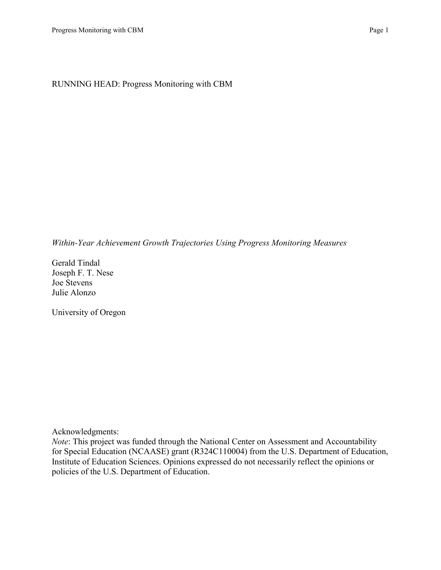*Within-Year Achievement Growth Trajectories Using Progress Monitoring Measures*

Gerald Tindal Joseph F. T. Nese Joe Stevens Julie Alonzo

University of Oregon

Acknowledgments:

*Note*: This project was funded through the National Center on Assessment and Accountability for Special Education (NCAASE) grant (R324C110004) from the U.S. Department of Education, Institute of Education Sciences. Opinions expressed do not necessarily reflect the opinions or policies of the U.S. Department of Education.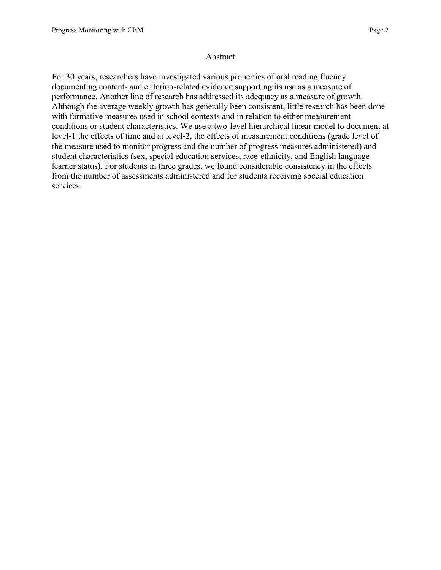### Abstract

For 30 years, researchers have investigated various properties of oral reading fluency documenting content- and criterion-related evidence supporting its use as a measure of performance. Another line of research has addressed its adequacy as a measure of growth. Although the average weekly growth has generally been consistent, little research has been done with formative measures used in school contexts and in relation to either measurement conditions or student characteristics. We use a two-level hierarchical linear model to document at level-1 the effects of time and at level-2, the effects of measurement conditions (grade level of the measure used to monitor progress and the number of progress measures administered) and student characteristics (sex, special education services, race-ethnicity, and English language learner status). For students in three grades, we found considerable consistency in the effects from the number of assessments administered and for students receiving special education services.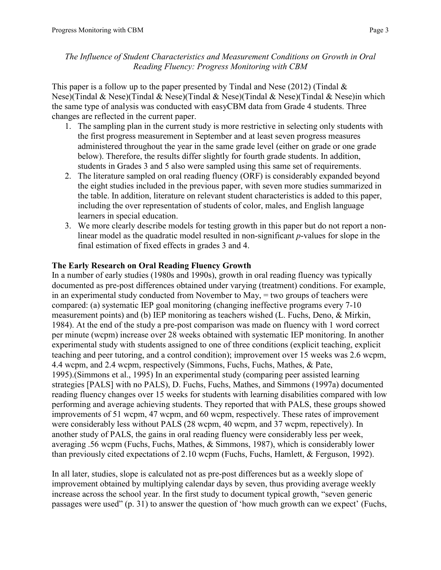This paper is a follow up to the paper presented by Tindal and Nese (2012) (Tindal  $\&$ Nese)(Tindal & Nese)(Tindal & Nese)(Tindal & Nese)(Tindal & Nese)(Tindal & Nese)in which the same type of analysis was conducted with easyCBM data from Grade 4 students. Three changes are reflected in the current paper.

- 1. The sampling plan in the current study is more restrictive in selecting only students with the first progress measurement in September and at least seven progress measures administered throughout the year in the same grade level (either on grade or one grade below). Therefore, the results differ slightly for fourth grade students. In addition, students in Grades 3 and 5 also were sampled using this same set of requirements.
- 2. The literature sampled on oral reading fluency (ORF) is considerably expanded beyond the eight studies included in the previous paper, with seven more studies summarized in the table. In addition, literature on relevant student characteristics is added to this paper, including the over representation of students of color, males, and English language learners in special education.
- 3. We more clearly describe models for testing growth in this paper but do not report a nonlinear model as the quadratic model resulted in non-significant *p*-values for slope in the final estimation of fixed effects in grades 3 and 4.

# **The Early Research on Oral Reading Fluency Growth**

In a number of early studies (1980s and 1990s), growth in oral reading fluency was typically documented as pre-post differences obtained under varying (treatment) conditions. For example, in an experimental study conducted from November to May, = two groups of teachers were compared: (a) systematic IEP goal monitoring (changing ineffective programs every 7-10 measurement points) and (b) IEP monitoring as teachers wished [\(L. Fuchs, Deno, & Mirkin,](#page-11-0)  [1984\)](#page-11-0). At the end of the study a pre-post comparison was made on fluency with 1 word correct per minute (wcpm) increase over 28 weeks obtained with systematic IEP monitoring. In another experimental study with students assigned to one of three conditions (explicit teaching, explicit teaching and peer tutoring, and a control condition); improvement over 15 weeks was 2.6 wcpm, 4.4 wcpm, and 2.4 wcpm, respectively [\(Simmons, Fuchs, Fuchs, Mathes, & Pate,](#page-12-0)  [1995\)](#page-12-0).[\(Simmons et al., 1995\)](#page-12-0) In an experimental study (comparing peer assisted learning strategies [PALS] with no PALS), [D. Fuchs, Fuchs, Mathes, and Simmons \(1997a\)](#page-11-1) documented reading fluency changes over 15 weeks for students with learning disabilities compared with low performing and average achieving students. They reported that with PALS, these groups showed improvements of 51 wcpm, 47 wcpm, and 60 wcpm, respectively. These rates of improvement were considerably less without PALS (28 wcpm, 40 wcpm, and 37 wcpm, repectively). In another study of PALS, the gains in oral reading fluency were considerably less per week, averaging .56 wcpm (Fuchs, Fuchs, Mathes, & Simmons, 1987), which is considerably lower than previously cited expectations of 2.10 wcpm (Fuchs, Fuchs, Hamlett, & Ferguson, 1992).

In all later, studies, slope is calculated not as pre-post differences but as a weekly slope of improvement obtained by multiplying calendar days by seven, thus providing average weekly increase across the school year. In the first study to document typical growth, "seven generic passages were used" (p. 31) to answer the question of 'how much growth can we expect' (Fuchs,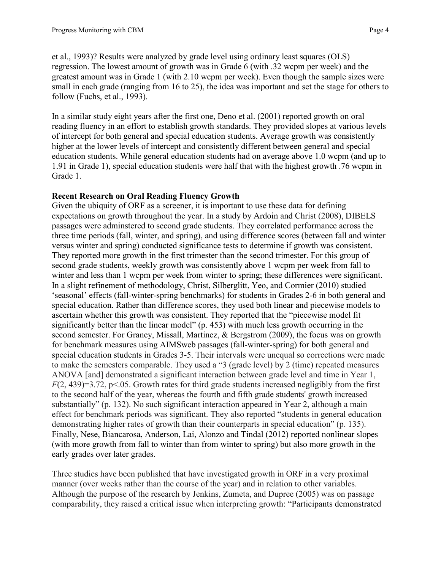et al., 1993)? Results were analyzed by grade level using ordinary least squares (OLS) regression. The lowest amount of growth was in Grade 6 (with .32 wcpm per week) and the greatest amount was in Grade 1 (with 2.10 wcpm per week). Even though the sample sizes were small in each grade (ranging from 16 to 25), the idea was important and set the stage for others to follow (Fuchs, et al., 1993).

In a similar study eight years after the first one, Deno et al. (2001) reported growth on oral reading fluency in an effort to establish growth standards. They provided slopes at various levels of intercept for both general and special education students. Average growth was consistently higher at the lower levels of intercept and consistently different between general and special education students. While general education students had on average above 1.0 wcpm (and up to 1.91 in Grade 1), special education students were half that with the highest growth .76 wcpm in Grade 1.

# **Recent Research on Oral Reading Fluency Growth**

Given the ubiquity of ORF as a screener, it is important to use these data for defining expectations on growth throughout the year. In a study by Ardoin and Christ (2008), DIBELS passages were adminstered to second grade students. They correlated performance across the three time periods (fall, winter, and spring), and using difference scores (between fall and winter versus winter and spring) conducted significance tests to determine if growth was consistent. They reported more growth in the first trimester than the second trimester. For this group of second grade students, weekly growth was consistently above 1 wcpm per week from fall to winter and less than 1 wcpm per week from winter to spring; these differences were significant. In a slight refinement of methodology, Christ, Silberglitt, Yeo, and Cormier (2010) studied 'seasonal' effects (fall-winter-spring benchmarks) for students in Grades 2-6 in both general and special education. Rather than difference scores, they used both linear and piecewise models to ascertain whether this growth was consistent. They reported that the "piecewise model fit significantly better than the linear model" (p. 453) with much less growth occurring in the second semester. For Graney, Missall, Martinez, & Bergstrom (2009), the focus was on growth for benchmark measures using AIMSweb passages (fall-winter-spring) for both general and special education students in Grades 3-5. Their intervals were unequal so corrections were made to make the semesters comparable. They used a "3 (grade level) by 2 (time) repeated measures ANOVA [and] demonstrated a significant interaction between grade level and time in Year 1, *F*(2, 439)=3.72, p<.05. Growth rates for third grade students increased negligibly from the first to the second half of the year, whereas the fourth and fifth grade students' growth increased substantially" (p. 132). No such significant interaction appeared in Year 2, although a main effect for benchmark periods was significant. They also reported "students in general education demonstrating higher rates of growth than their counterparts in special education" (p. 135). Finally, Nese, Biancarosa, Anderson, Lai, Alonzo and Tindal (2012) reported nonlinear slopes (with more growth from fall to winter than from winter to spring) but also more growth in the early grades over later grades.

Three studies have been published that have investigated growth in ORF in a very proximal manner (over weeks rather than the course of the year) and in relation to other variables. Although the purpose of the research by [Jenkins, Zumeta, and Dupree \(2005\)](#page-12-1) was on passage comparability, they raised a critical issue when interpreting growth: "Participants demonstrated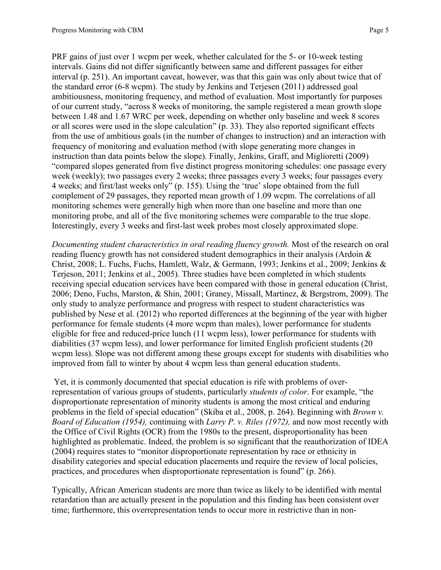PRF gains of just over 1 wcpm per week, whether calculated for the 5- or 10-week testing intervals. Gains did not differ significantly between same and different passages for either interval (p. 251). An important caveat, however, was that this gain was only about twice that of the standard error (6-8 wcpm). The study by Jenkins and Terjesen (2011) addressed goal ambitiousness, monitoring frequency, and method of evaluation. Most importantly for purposes of our current study, "across 8 weeks of monitoring, the sample registered a mean growth slope between 1.48 and 1.67 WRC per week, depending on whether only baseline and week 8 scores or all scores were used in the slope calculation" (p. 33). They also reported significant effects from the use of ambitious goals (in the number of changes to instruction) and an interaction with frequency of monitoring and evaluation method (with slope generating more changes in instruction than data points below the slope). Finally, [Jenkins, Graff, and Miglioretti \(2009\)](#page-11-2) "compared slopes generated from five distinct progress monitoring schedules: one passage every week (weekly); two passages every 2 weeks; three passages every 3 weeks; four passages every 4 weeks; and first/last weeks only" (p. 155). Using the 'true' slope obtained from the full complement of 29 passages, they reported mean growth of 1.09 wcpm. The correlations of all monitoring schemes were generally high when more than one baseline and more than one monitoring probe, and all of the five monitoring schemes were comparable to the true slope. Interestingly, every 3 weeks and first-last week probes most closely approximated slope.

*Documenting student characteristics in oral reading fluency growth.* Most of the research on oral reading fluency growth has not considered student demographics in their analysis [\(Ardoin &](#page-11-3)  [Christ, 2008;](#page-11-3) [L. Fuchs, Fuchs, Hamlett, Walz, & Germann, 1993;](#page-11-4) [Jenkins et al., 2009;](#page-11-2) [Jenkins &](#page-11-5)  [Terjeson, 2011;](#page-11-5) [Jenkins et al., 2005\)](#page-12-1). Three studies have been completed in which students receiving special education services have been compared with those in general education [\(Christ,](#page-11-6)  [2006;](#page-11-6) [Deno, Fuchs, Marston, & Shin, 2001;](#page-11-7) [Graney, Missall, Martinez, & Bergstrom, 2009\)](#page-11-8). The only study to analyze performance and progress with respect to student characteristics was published by Nese et al. (2012) who reported differences at the beginning of the year with higher performance for female students (4 more wcpm than males), lower performance for students eligible for free and reduced-price lunch (11 wcpm less), lower performance for students with diabilities (37 wcpm less), and lower performance for limited English proficient students (20 wcpm less). Slope was not different among these groups except for students with disabilities who improved from fall to winter by about 4 wcpm less than general education students.

Yet, it is commonly documented that special education is rife with problems of overrepresentation of various groups of students, particularly *students of color*. For example, "the disproportionate representation of minority students is among the most critical and enduring problems in the field of special education" [\(Skiba et al., 2008, p. 264\)](#page-12-2). Beginning with *Brown v. Board of Education (1954),* continuing with *Larry P. v. Riles (1972),* and now most recently with the Office of Civil Rights (OCR) from the 1980s to the present, disproportionality has been highlighted as problematic. Indeed, the problem is so significant that the reauthorization of IDEA (2004) requires states to "monitor disproportionate representation by race or ethnicity in disability categories and special education placements and require the review of local policies, practices, and procedures when disproportionate representation is found" (p. 266).

Typically, African American students are more than twice as likely to be identified with mental retardation than are actually present in the population and this finding has been consistent over time; furthermore, this overrepresentation tends to occur more in restrictive than in non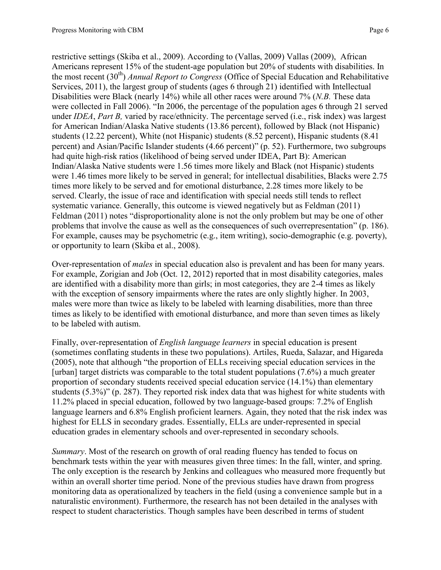restrictive settings (Skiba et al., 2009). According to [\(Vallas, 2009\)](#page-12-3) Vallas (2009), African Americans represent 15% of the student-age population but 20% of students with disabilities. In the most recent (30th) *Annual Report to Congress* [\(Office of Special Education and Rehabilitative](#page-12-4)  [Services, 2011\)](#page-12-4), the largest group of students (ages 6 through 21) identified with Intellectual Disabilities were Black (nearly 14%) while all other races were around 7% (*N.B.* These data were collected in Fall 2006). "In 2006, the percentage of the population ages 6 through 21 served under *IDEA*, *Part B,* varied by race/ethnicity. The percentage served (i.e., risk index) was largest for American Indian/Alaska Native students (13.86 percent), followed by Black (not Hispanic) students (12.22 percent), White (not Hispanic) students (8.52 percent), Hispanic students (8.41 percent) and Asian/Pacific Islander students (4.66 percent)" (p. 52). Furthermore, two subgroups had quite high-risk ratios (likelihood of being served under IDEA, Part B): American Indian/Alaska Native students were 1.56 times more likely and Black (not Hispanic) students were 1.46 times more likely to be served in general; for intellectual disabilities, Blacks were 2.75 times more likely to be served and for emotional disturbance, 2.28 times more likely to be served. Clearly, the issue of race and identification with special needs still tends to reflect systematic variance. Generally, this outcome is viewed negatively but as Feldman (2011) [Feldman \(2011\)](#page-11-9) notes "disproportionality alone is not the only problem but may be one of other problems that involve the cause as well as the consequences of such overrepresentation" (p. 186). For example, causes may be psychometric (e.g., item writing), socio-demographic (e.g. poverty), or opportunity to learn [\(Skiba et al., 2008\)](#page-12-2).

Over-representation of *males* in special education also is prevalent and has been for many years. For example, [Zorigian and Job \(Oct. 12, 2012\)](#page-12-5) reported that in most disability categories, males are identified with a disability more than girls; in most categories, they are 2-4 times as likely with the exception of sensory impairments where the rates are only slightly higher. In 2003, males were more than twice as likely to be labeled with learning disabilities, more than three times as likely to be identified with emotional disturbance, and more than seven times as likely to be labeled with autism.

Finally, over-representation of *English language learners* in special education is present (sometimes conflating students in these two populations). [Artiles, Rueda, Salazar, and Higareda](#page-11-10)  [\(2005\)](#page-11-10), note that although "the proportion of ELLs receiving special education services in the [urban] target districts was comparable to the total student populations  $(7.6\%)$  a much greater proportion of secondary students received special education service (14.1%) than elementary students (5.3%)" (p. 287). They reported risk index data that was highest for white students with 11.2% placed in special education, followed by two language-based groups: 7.2% of English language learners and 6.8% English proficient learners. Again, they noted that the risk index was highest for ELLS in secondary grades. Essentially, ELLs are under-represented in special education grades in elementary schools and over-represented in secondary schools.

*Summary*. Most of the research on growth of oral reading fluency has tended to focus on benchmark tests within the year with measures given three times: In the fall, winter, and spring. The only exception is the research by Jenkins and colleagues who measured more frequently but within an overall shorter time period. None of the previous studies have drawn from progress monitoring data as operationalized by teachers in the field (using a convenience sample but in a naturalistic environment). Furthermore, the research has not been detailed in the analyses with respect to student characteristics. Though samples have been described in terms of student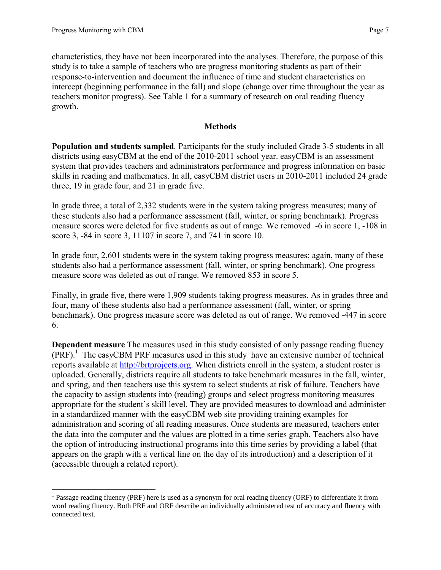$\overline{\phantom{a}}$ 

characteristics, they have not been incorporated into the analyses. Therefore, the purpose of this study is to take a sample of teachers who are progress monitoring students as part of their response-to-intervention and document the influence of time and student characteristics on intercept (beginning performance in the fall) and slope (change over time throughout the year as teachers monitor progress). See Table 1 for a summary of research on oral reading fluency growth.

## **Methods**

**Population and students sampled***.* Participants for the study included Grade 3-5 students in all districts using easyCBM at the end of the 2010-2011 school year. easyCBM is an assessment system that provides teachers and administrators performance and progress information on basic skills in reading and mathematics. In all, easyCBM district users in 2010-2011 included 24 grade three, 19 in grade four, and 21 in grade five.

In grade three, a total of 2,332 students were in the system taking progress measures; many of these students also had a performance assessment (fall, winter, or spring benchmark). Progress measure scores were deleted for five students as out of range. We removed -6 in score 1, -108 in score 3, -84 in score 3, 11107 in score 7, and 741 in score 10.

In grade four, 2,601 students were in the system taking progress measures; again, many of these students also had a performance assessment (fall, winter, or spring benchmark). One progress measure score was deleted as out of range. We removed 853 in score 5.

Finally, in grade five, there were 1,909 students taking progress measures. As in grades three and four, many of these students also had a performance assessment (fall, winter, or spring benchmark). One progress measure score was deleted as out of range. We removed -447 in score 6.

**Dependent measure** The measures used in this study consisted of only passage reading fluency  $(PRF)$ .<sup>1</sup> The easyCBM PRF measures used in this study have an extensive number of technical reports available at [http://brtprojects.org.](http://brtprojects.org/) When districts enroll in the system, a student roster is uploaded. Generally, districts require all students to take benchmark measures in the fall, winter, and spring, and then teachers use this system to select students at risk of failure. Teachers have the capacity to assign students into (reading) groups and select progress monitoring measures appropriate for the student's skill level. They are provided measures to download and administer in a standardized manner with the easyCBM web site providing training examples for administration and scoring of all reading measures. Once students are measured, teachers enter the data into the computer and the values are plotted in a time series graph. Teachers also have the option of introducing instructional programs into this time series by providing a label (that appears on the graph with a vertical line on the day of its introduction) and a description of it (accessible through a related report).

<sup>&</sup>lt;sup>1</sup> Passage reading fluency (PRF) here is used as a synonym for oral reading fluency (ORF) to differentiate it from word reading fluency. Both PRF and ORF describe an individually administered test of accuracy and fluency with connected text.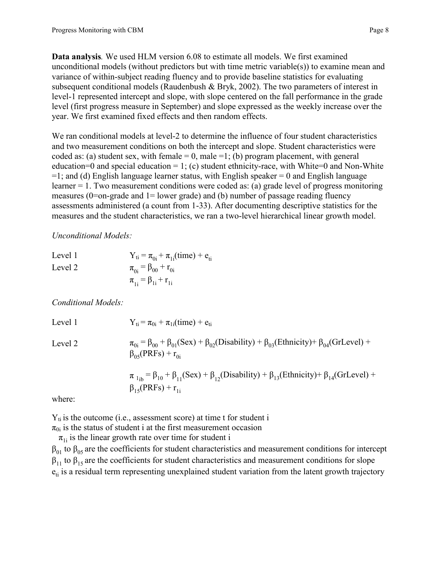**Data analysis***.* We used HLM version 6.08 to estimate all models. We first examined unconditional models (without predictors but with time metric variable(s)) to examine mean and variance of within-subject reading fluency and to provide baseline statistics for evaluating subsequent conditional models [\(Raudenbush & Bryk, 2002\)](#page-12-6). The two parameters of interest in level-1 represented intercept and slope, with slope centered on the fall performance in the grade level (first progress measure in September) and slope expressed as the weekly increase over the year. We first examined fixed effects and then random effects.

We ran conditional models at level-2 to determine the influence of four student characteristics and two measurement conditions on both the intercept and slope. Student characteristics were coded as: (a) student sex, with female  $= 0$ , male  $= 1$ ; (b) program placement, with general education=0 and special education = 1; (c) student ethnicity-race, with White=0 and Non-White  $=1$ ; and (d) English language learner status, with English speaker  $= 0$  and English language learner = 1. Two measurement conditions were coded as: (a) grade level of progress monitoring measures ( $0$ =on-grade and  $1$ = lower grade) and (b) number of passage reading fluency assessments administered (a count from 1-33). After documenting descriptive statistics for the measures and the student characteristics, we ran a two-level hierarchical linear growth model.

*Unconditional Models:*

| Level 1 | $Y_{ti} = \pi_{0i} + \pi_{1i}(time) + e_{ti}$ |
|---------|-----------------------------------------------|
| Level 2 | $\pi_{0i} = \beta_{00} + r_{0i}$              |
|         | $\pi_{1i} = \beta_{1i} + r_{1i}$              |

*Conditional Models:*

Level 1  $Y_{ti} = \pi_{0i} + \pi_{1i}(\text{time}) + e_{ti}$ Level 2  $\pi_{0i} = \beta_{00} + \beta_{01}(Sex) + \beta_{02}(Disability) + \beta_{03}(Ethnicity) + \beta_{04}(GrLevel) +$  $\beta_{05}$ (PRFs) +  $r_{0i}$  $\pi_{1_{ib}} = \beta_{10} + \beta_{11}$ (Sex) +  $\beta_{12}$ (Disability) +  $\beta_{13}$ (Ethnicity) +  $\beta_{14}$ (GrLevel) +  $β<sub>15</sub>(PRFs) + r<sub>1i</sub>$ 

where:

 $Y_{ti}$  is the outcome (i.e., assessment score) at time t for student i

 $\pi_{0i}$  is the status of student i at the first measurement occasion

 $\pi_{1i}$  is the linear growth rate over time for student i

 $β_{01}$  to  $β_{05}$  are the coefficients for student characteristics and measurement conditions for intercept  $\beta_{11}$  to  $\beta_{15}$  are the coefficients for student characteristics and measurement conditions for slope  $e<sub>ti</sub>$  is a residual term representing unexplained student variation from the latent growth trajectory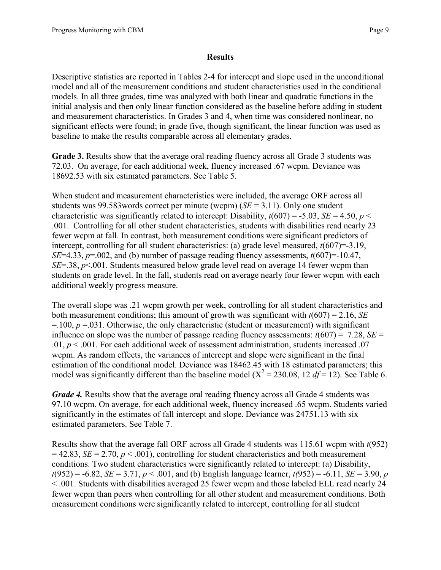### **Results**

Descriptive statistics are reported in Tables 2-4 for intercept and slope used in the unconditional model and all of the measurement conditions and student characteristics used in the conditional models. In all three grades, time was analyzed with both linear and quadratic functions in the initial analysis and then only linear function considered as the baseline before adding in student and measurement characteristics. In Grades 3 and 4, when time was considered nonlinear, no significant effects were found; in grade five, though significant, the linear function was used as baseline to make the results comparable across all elementary grades.

**Grade 3.** Results show that the average oral reading fluency across all Grade 3 students was 72.03. On average, for each additional week, fluency increased .67 wcpm. Deviance was 18692.53 with six estimated parameters. See Table 5.

When student and measurement characteristics were included, the average ORF across all students was 99.583words correct per minute (wcpm) (*SE* = 3.11). Only one student characteristic was significantly related to intercept: Disability,  $t(607) = -5.03$ , *SE* = 4.50, *p* < .001. Controlling for all other student characteristics, students with disabilities read nearly 23 fewer wcpm at fall. In contrast, both measurement conditions were significant predictors of intercept, controlling for all student characteristics: (a) grade level measured, *t*(607)=-3.19, *SE*=4.33,  $p=0.002$ , and (b) number of passage reading fluency assessments,  $t(607)=10.47$ , *SE*=.38, *p*<.001. Students measured below grade level read on average 14 fewer wcpm than students on grade level. In the fall, students read on average nearly four fewer wcpm with each additional weekly progress measure.

The overall slope was .21 wcpm growth per week, controlling for all student characteristics and both measurement conditions; this amount of growth was significant with *t*(607) = 2.16, *SE*  $=$ .100,  $p = 0.031$ . Otherwise, the only characteristic (student or measurement) with significant influence on slope was the number of passage reading fluency assessments:  $t(607) = 7.28$ , *SE* = .01,  $p < 0.001$ . For each additional week of assessment administration, students increased 0.07 wcpm. As random effects, the variances of intercept and slope were significant in the final estimation of the conditional model. Deviance was 18462.45 with 18 estimated parameters; this model was significantly different than the baseline model ( $X^2 = 230.08$ , 12 *df* = 12). See Table 6.

*Grade 4.* Results show that the average oral reading fluency across all Grade 4 students was 97.10 wcpm. On average, for each additional week, fluency increased .65 wcpm. Students varied significantly in the estimates of fall intercept and slope. Deviance was 24751.13 with six estimated parameters. See Table 7.

Results show that the average fall ORF across all Grade 4 students was 115.61 wcpm with *t*(952)  $= 42.83$ , *SE* = 2.70, *p* < .001), controlling for student characteristics and both measurement conditions. Two student characteristics were significantly related to intercept: (a) Disability,  $t(952) = -6.82$ , *SE* = 3.71, *p* < .001, and (b) English language learner,  $t(952) = -6.11$ , *SE* = 3.90, *p* < .001. Students with disabilities averaged 25 fewer wcpm and those labeled ELL read nearly 24 fewer wcpm than peers when controlling for all other student and measurement conditions. Both measurement conditions were significantly related to intercept, controlling for all student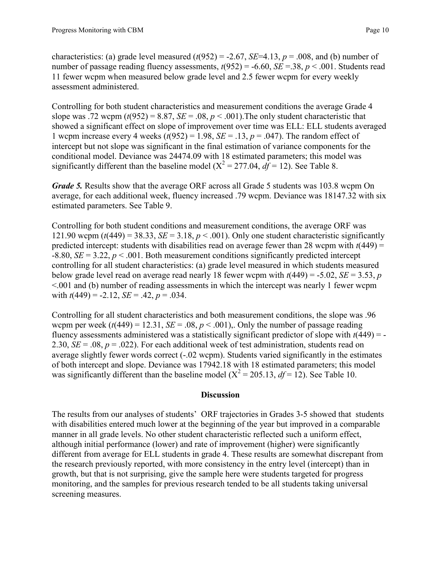characteristics: (a) grade level measured  $(t(952) = -2.67$ , *SE*=4.13,  $p = .008$ , and (b) number of number of passage reading fluency assessments,  $t(952) = -6.60$ ,  $SE = .38$ ,  $p < .001$ . Students read 11 fewer wcpm when measured below grade level and 2.5 fewer wcpm for every weekly assessment administered.

Controlling for both student characteristics and measurement conditions the average Grade 4 slope was .72 wcpm  $(t(952) = 8.87, SE = .08, p < .001)$ . The only student characteristic that showed a significant effect on slope of improvement over time was ELL: ELL students averaged 1 wcpm increase every 4 weeks  $(t(952) = 1.98$ ,  $SE = .13$ ,  $p = .047$ ). The random effect of intercept but not slope was significant in the final estimation of variance components for the conditional model. Deviance was 24474.09 with 18 estimated parameters; this model was significantly different than the baseline model ( $X^2 = 277.04$ ,  $df = 12$ ). See Table 8.

*Grade 5.* Results show that the average ORF across all Grade 5 students was 103.8 wcpm On average, for each additional week, fluency increased .79 wcpm. Deviance was 18147.32 with six estimated parameters. See Table 9.

Controlling for both student conditions and measurement conditions, the average ORF was 121.90 wcpm  $(t(449) = 38.33, SE = 3.18, p < .001)$ . Only one student characteristic significantly predicted intercept: students with disabilities read on average fewer than 28 wcpm with  $t(449)$  =  $-8.80$ , *SE* = 3.22, *p* < .001. Both measurement conditions significantly predicted intercept controlling for all student characteristics: (a) grade level measured in which students measured below grade level read on average read nearly 18 fewer wcpm with  $t(449) = -5.02$ , *SE* = 3.53, *p* <.001 and (b) number of reading assessments in which the intercept was nearly 1 fewer wcpm with  $t(449) = -2.12$ ,  $SE = .42$ ,  $p = .034$ .

Controlling for all student characteristics and both measurement conditions, the slope was .96 wcpm per week  $(t(449) = 12.31$ ,  $SE = .08$ ,  $p < .001$ ),. Only the number of passage reading fluency assessments administered was a statistically significant predictor of slope with *t*(449) = - 2.30,  $SE = .08$ ,  $p = .022$ ). For each additional week of test administration, students read on average slightly fewer words correct (-.02 wcpm). Students varied significantly in the estimates of both intercept and slope. Deviance was 17942.18 with 18 estimated parameters; this model was significantly different than the baseline model  $(X^2 = 205.13, df = 12)$ . See Table 10.

### **Discussion**

The results from our analyses of students' ORF trajectories in Grades 3-5 showed that students with disabilities entered much lower at the beginning of the year but improved in a comparable manner in all grade levels. No other student characteristic reflected such a uniform effect, although initial performance (lower) and rate of improvement (higher) were significantly different from average for ELL students in grade 4. These results are somewhat discrepant from the research previously reported, with more consistency in the entry level (intercept) than in growth, but that is not surprising, give the sample here were students targeted for progress monitoring, and the samples for previous research tended to be all students taking universal screening measures.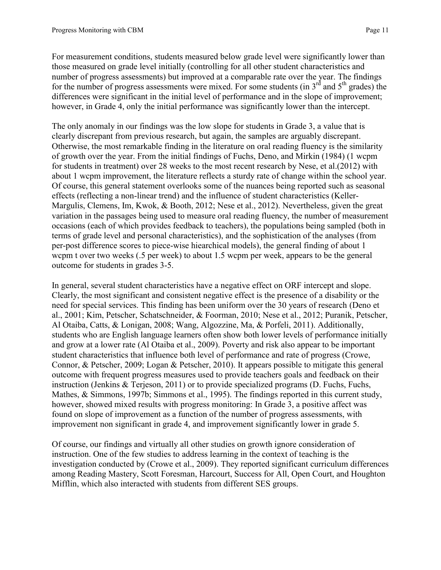For measurement conditions, students measured below grade level were significantly lower than those measured on grade level initially (controlling for all other student characteristics and number of progress assessments) but improved at a comparable rate over the year. The findings for the number of progress assessments were mixed. For some students (in  $3<sup>rd</sup>$  and  $5<sup>th</sup>$  grades) the differences were significant in the initial level of performance and in the slope of improvement; however, in Grade 4, only the initial performance was significantly lower than the intercept.

The only anomaly in our findings was the low slope for students in Grade 3, a value that is clearly discrepant from previous research, but again, the samples are arguably discrepant. Otherwise, the most remarkable finding in the literature on oral reading fluency is the similarity of growth over the year. From the initial findings of Fuchs, Deno, and Mirkin (1984) (1 wcpm for students in treatment) over 28 weeks to the most recent research by Nese, et al.(2012) with about 1 wcpm improvement, the literature reflects a sturdy rate of change within the school year. Of course, this general statement overlooks some of the nuances being reported such as seasonal effects (reflecting a non-linear trend) and the influence of student characteristics [\(Keller-](#page-12-7)[Margulis, Clemens, Im, Kwok, & Booth, 2012;](#page-12-7) [Nese et al., 2012\)](#page-12-8). Nevertheless, given the great variation in the passages being used to measure oral reading fluency, the number of measurement occasions (each of which provides feedback to teachers), the populations being sampled (both in terms of grade level and personal characteristics), and the sophistication of the analyses (from per-post difference scores to piece-wise hiearchical models), the general finding of about 1 wcpm t over two weeks (.5 per week) to about 1.5 wcpm per week, appears to be the general outcome for students in grades 3-5.

In general, several student characteristics have a negative effect on ORF intercept and slope. Clearly, the most significant and consistent negative effect is the presence of a disability or the need for special services. This finding has been uniform over the 30 years of research [\(Deno et](#page-11-7)  [al., 2001;](#page-11-7) [Kim, Petscher, Schatschneider, & Foorman, 2010;](#page-12-9) [Nese et al., 2012;](#page-12-8) [Puranik, Petscher,](#page-12-10)  [Al Otaiba, Catts, & Lonigan, 2008;](#page-12-10) [Wang, Algozzine, Ma, & Porfeli, 2011\)](#page-12-11). Additionally, students who are English language learners often show both lower levels of performance initially and grow at a lower rate [\(Al Otaiba et al., 2009\)](#page-11-11). Poverty and risk also appear to be important student characteristics that influence both level of performance and rate of progress [\(Crowe,](#page-11-12)  [Connor, & Petscher, 2009;](#page-11-12) [Logan & Petscher, 2010\)](#page-12-12). It appears possible to mitigate this general outcome with frequent progress measures used to provide teachers goals and feedback on their instruction [\(Jenkins & Terjeson, 2011\)](#page-11-5) or to provide specialized programs [\(D. Fuchs, Fuchs,](#page-11-13)  [Mathes, & Simmons, 1997b;](#page-11-13) [Simmons et al., 1995\)](#page-12-0). The findings reported in this current study, however, showed mixed results with progress monitoring: In Grade 3, a positive affect was found on slope of improvement as a function of the number of progress assessments, with improvement non significant in grade 4, and improvement significantly lower in grade 5.

Of course, our findings and virtually all other studies on growth ignore consideration of instruction. One of the few studies to address learning in the context of teaching is the investigation conducted by [\(Crowe et al., 2009\)](#page-11-12). They reported significant curriculum differences among Reading Mastery, Scott Foresman, Harcourt, Success for All, Open Court, and Houghton Mifflin, which also interacted with students from different SES groups.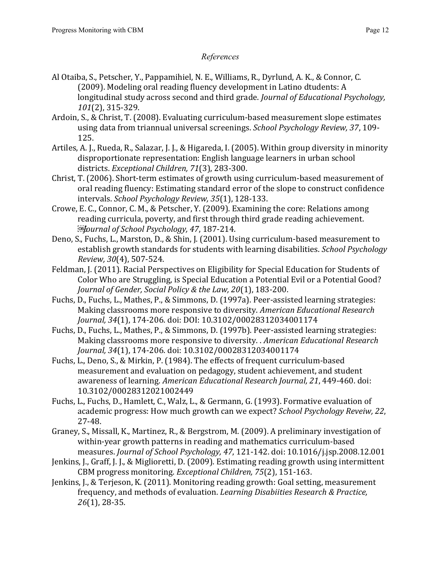# *References*

- <span id="page-11-11"></span>Al Otaiba, S., Petscher, Y., Pappamihiel, N. E., Williams, R., Dyrlund, A. K., & Connor, C. (2009). Modeling oral reading fluency development in Latino dtudents: A longitudinal study across second and third grade. *Journal of Educational Psychology, 101*(2), 315-329.
- <span id="page-11-3"></span>Ardoin, S., & Christ, T. (2008). Evaluating curriculum-based measurement slope estimates using data from triannual universal screenings. *School Psychology Review, 37*, 109- 125.
- <span id="page-11-10"></span>Artiles, A. J., Rueda, R., Salazar, J. J., & Higareda, I. (2005). Within group diversity in minority disproportionate representation: English language learners in urban school districts. *Exceptional Children, 71*(3), 283-300.
- <span id="page-11-6"></span>Christ, T. (2006). Short-term estimates of growth using curriculum-based measurement of oral reading fluency: Estimating standard error of the slope to construct confidence intervals. *School Psychology Review, 35*(1), 128-133.
- <span id="page-11-12"></span>Crowe, E. C., Connor, C. M., & Petscher, Y. (2009). Examining the core: Relations among reading curricula, poverty, and first through third grade reading achievement. *Journal of School Psychology, 47*, 187-214.
- <span id="page-11-7"></span>Deno, S., Fuchs, L., Marston, D., & Shin, J. (2001). Using curriculum-based measurement to establish growth standards for students with learning disabilities. *School Psychology Review, 30*(4), 507-524.
- <span id="page-11-9"></span>Feldman, J. (2011). Racial Perspectives on Eligibility for Special Education for Students of Color Who are Struggling, is Special Education a Potential Evil or a Potential Good? *Journal of Gender, Social Policy & the Law, 20*(1), 183-200.
- <span id="page-11-1"></span>Fuchs, D., Fuchs, L., Mathes, P., & Simmons, D. (1997a). Peer-assisted learning strategies: Making classrooms more responsive to diversity. *American Educational Research Journal, 34*(1), 174-206. doi: DOI: 10.3102/00028312034001174
- <span id="page-11-13"></span>Fuchs, D., Fuchs, L., Mathes, P., & Simmons, D. (1997b). Peer-assisted learning strategies: Making classrooms more responsive to diversity. . *American Educational Research Journal, 34*(1), 174-206. doi: 10.3102/00028312034001174
- <span id="page-11-0"></span>Fuchs, L., Deno, S., & Mirkin, P. (1984). The effects of frequent curriculum-based measurement and evaluation on pedagogy, student achievement, and student awareness of learning. *American Educational Research Journal, 21*, 449-460. doi: 10.3102/00028312021002449
- <span id="page-11-4"></span>Fuchs, L., Fuchs, D., Hamlett, C., Walz, L., & Germann, G. (1993). Formative evaluation of academic progress: How much growth can we expect? *School Psychology Reveiw, 22*, 27-48.
- <span id="page-11-8"></span>Graney, S., Missall, K., Martinez, R., & Bergstrom, M. (2009). A preliminary investigation of within-year growth patterns in reading and mathematics curriculum-based measures. *Journal of School Psychology, 47*, 121-142. doi: 10.1016/j.jsp.2008.12.001
- <span id="page-11-2"></span>Jenkins, J., Graff, J. J., & Miglioretti, D. (2009). Estimating reading growth using intermittent CBM progress monitoring. *Exceptional Children, 75*(2), 151-163.
- <span id="page-11-5"></span>Jenkins, J., & Terjeson, K. (2011). Monitoring reading growth: Goal setting, measurement frequency, and methods of evaluation. *Learning Disabiities Research & Practice, 26*(1), 28-35.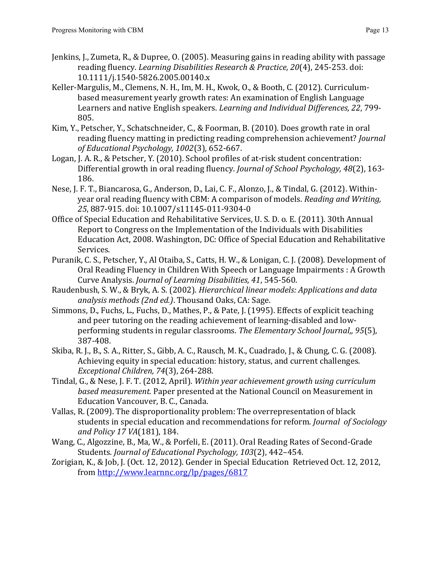- <span id="page-12-1"></span>Jenkins, J., Zumeta, R., & Dupree, O. (2005). Measuring gains in reading ability with passage reading fluency. *Learning Disabilities Research & Practice, 20*(4), 245-253. doi: 10.1111/j.1540-5826.2005.00140.x
- <span id="page-12-7"></span>Keller-Margulis, M., Clemens, N. H., Im, M. H., Kwok, O., & Booth, C. (2012). Curriculumbased measurement yearly growth rates: An examination of English Language Learners and native English speakers. *Learning and Individual Differences, 22*, 799- 805.
- <span id="page-12-9"></span>Kim, Y., Petscher, Y., Schatschneider, C., & Foorman, B. (2010). Does growth rate in oral reading fluency matting in predicting reading comprehension achievement? *Journal of Educational Psychology, 1002*(3), 652-667.
- <span id="page-12-12"></span>Logan, J. A. R., & Petscher, Y. (2010). School profiles of at-risk student concentration: Differential growth in oral reading fluency. *Journal of School Psychology, 48*(2), 163- 186.
- <span id="page-12-8"></span>Nese, J. F. T., Biancarosa, G., Anderson, D., Lai, C. F., Alonzo, J., & Tindal, G. (2012). Withinyear oral reading fluency with CBM: A comparison of models. *Reading and Writing, 25*, 887-915. doi: 10.1007/s11145-011-9304-0
- <span id="page-12-4"></span>Office of Special Education and Rehabilitative Services, U. S. D. o. E. (2011). 30th Annual Report to Congress on the Implementation of the Individuals with Disabilities Education Act, 2008. Washington, DC: Office of Special Education and Rehabilitative Services.
- <span id="page-12-10"></span>Puranik, C. S., Petscher, Y., Al Otaiba, S., Catts, H. W., & Lonigan, C. J. (2008). Development of Oral Reading Fluency in Children With Speech or Language Impairments : A Growth Curve Analysis. *Journal of Learning Disabilities, 41*, 545-560.
- <span id="page-12-6"></span>Raudenbush, S. W., & Bryk, A. S. (2002). *Hierarchical linear models: Applications and data analysis methods (2nd ed.)*. Thousand Oaks, CA: Sage.
- <span id="page-12-0"></span>Simmons, D., Fuchs, L., Fuchs, D., Mathes, P., & Pate, J. (1995). Effects of explicit teaching and peer tutoring on the reading achievement of learning-disabled and lowperforming students in regular classrooms. *The Elementary School Journal,, 95*(5), 387-408.
- <span id="page-12-2"></span>Skiba, R. J., B., S. A., Ritter, S., Gibb, A. C., Rausch, M. K., Cuadrado, J., & Chung, C. G. (2008). Achieving equity in special education: history, status, and current challenges. *Exceptional Children, 74*(3), 264-288.
- Tindal, G., & Nese, J. F. T. (2012, April). *Within year achievement growth using curriculum based measurement.* Paper presented at the National Council on Measurement in Education Vancouver, B. C., Canada.
- <span id="page-12-3"></span>Vallas, R. (2009). The disproportionality problem: The overrepresentation of black students in special education and recommendations for reform. *Journal of Sociology and Policy 17 VA*(181), 184.
- <span id="page-12-11"></span>Wang, C., Algozzine, B., Ma, W., & Porfeli, E. (2011). Oral Reading Rates of Second-Grade Students. *Journal of Educational Psychology, 103*(2), 442–454.
- <span id="page-12-5"></span>Zorigian, K., & Job, J. (Oct. 12, 2012). Gender in Special Education Retrieved Oct. 12, 2012, from<http://www.learnnc.org/lp/pages/6817>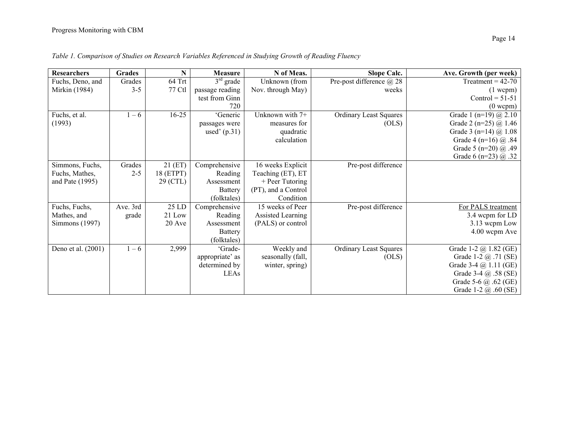| <b>Researchers</b> | <b>Grades</b> | N         | <b>Measure</b>  | N of Meas.          | <b>Slope Calc.</b>              | Ave. Growth (per week)         |
|--------------------|---------------|-----------|-----------------|---------------------|---------------------------------|--------------------------------|
| Fuchs, Deno, and   | Grades        | 64 Trt    | $3rd$ grade     | Unknown (from       | Pre-post difference $\omega$ 28 | Treatment = $42-70$            |
| Mirkin (1984)      | $3 - 5$       | 77 Ctl    | passage reading | Nov. through May)   | weeks                           | $(1 \text{ wcpm})$             |
|                    |               |           | test from Ginn  |                     |                                 | Control = $51-51$              |
|                    |               |           | 720             |                     |                                 | $(0$ wcpm $)$                  |
| Fuchs, et al.      | $1 - 6$       | $16 - 25$ | 'Generic        | Unknown with 7+     | <b>Ordinary Least Squares</b>   | Grade 1 (n=19) $@2.10$         |
| (1993)             |               |           | passages were   | measures for        | (OLS)                           | Grade 2 (n=25) $@1.46$         |
|                    |               |           | used' $(p.31)$  | quadratic           |                                 | Grade 3 (n=14) $\omega$ 1.08   |
|                    |               |           |                 | calculation         |                                 | Grade 4 (n=16) $@.84$          |
|                    |               |           |                 |                     |                                 | Grade 5 (n=20) $@.49$          |
|                    |               |           |                 |                     |                                 | Grade 6 (n=23) @ .32           |
| Simmons, Fuchs,    | Grades        | 21(ET)    | Comprehensive   | 16 weeks Explicit   | Pre-post difference             |                                |
| Fuchs, Mathes,     | $2 - 5$       | 18 (ETPT) | Reading         | Teaching (ET), ET   |                                 |                                |
| and Pate (1995)    |               | 29 (CTL)  | Assessment      | + Peer Tutoring     |                                 |                                |
|                    |               |           | <b>Battery</b>  | (PT), and a Control |                                 |                                |
|                    |               |           | (folktales)     | Condition           |                                 |                                |
| Fuchs, Fuchs,      | Ave. 3rd      | 25 LD     | Comprehensive   | 15 weeks of Peer    | Pre-post difference             | For PALS treatment             |
| Mathes, and        | grade         | 21 Low    | Reading         | Assisted Learning   |                                 | 3.4 wcpm for LD                |
| Simmons (1997)     |               | 20 Ave    | Assessment      | (PALS) or control   |                                 | 3.13 wcpm Low                  |
|                    |               |           | <b>Battery</b>  |                     |                                 | 4.00 wcpm Ave                  |
|                    |               |           | (folktales)     |                     |                                 |                                |
| Deno et al. (2001) | $1 - 6$       | 2,999     | 'Grade-         | Weekly and          | <b>Ordinary Least Squares</b>   | Grade 1-2 @ 1.82 (GE)          |
|                    |               |           | appropriate' as | seasonally (fall,   | (OLS)                           | Grade 1-2 @ .71 (SE)           |
|                    |               |           | determined by   | winter, spring)     |                                 | Grade $3-4$ $\omega$ 1.11 (GE) |
|                    |               |           | LEAs            |                     |                                 | Grade 3-4 @ .58 (SE)           |
|                    |               |           |                 |                     |                                 | Grade 5-6 $\omega$ .62 (GE)    |
|                    |               |           |                 |                     |                                 | Grade 1-2 $\omega$ .60 (SE)    |

*Table 1. Comparison of Studies on Research Variables Referenced in Studying Growth of Reading Fluency*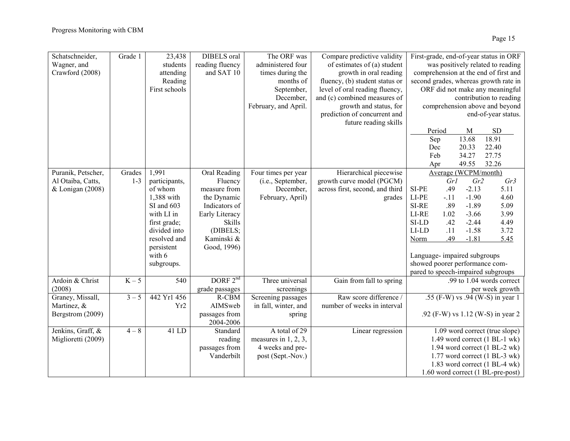| Schatschneider,<br>Wagner, and | Grade 1 | 23,438<br>students | <b>DIBELS</b> oral<br>reading fluency | The ORF was<br>administered four | Compare predictive validity<br>of estimates of (a) student |                                | First-grade, end-of-year status in ORF<br>was positively related to reading |
|--------------------------------|---------|--------------------|---------------------------------------|----------------------------------|------------------------------------------------------------|--------------------------------|-----------------------------------------------------------------------------|
| Crawford (2008)                |         | attending          | and SAT 10                            | times during the                 | growth in oral reading                                     |                                | comprehension at the end of first and                                       |
|                                |         | Reading            |                                       | months of                        | fluency, (b) student status or                             |                                | second grades, whereas growth rate in                                       |
|                                |         | First schools      |                                       | September,                       | level of oral reading fluency,                             |                                | ORF did not make any meaningful                                             |
|                                |         |                    |                                       | December,                        | and (c) combined measures of                               |                                | contribution to reading                                                     |
|                                |         |                    |                                       | February, and April.             | growth and status, for                                     |                                | comprehension above and beyond                                              |
|                                |         |                    |                                       |                                  | prediction of concurrent and                               |                                | end-of-year status.                                                         |
|                                |         |                    |                                       |                                  | future reading skills                                      |                                |                                                                             |
|                                |         |                    |                                       |                                  |                                                            | Period                         | <b>SD</b><br>M                                                              |
|                                |         |                    |                                       |                                  |                                                            | Sep                            | 18.91<br>13.68                                                              |
|                                |         |                    |                                       |                                  |                                                            | Dec                            | 22.40<br>20.33                                                              |
|                                |         |                    |                                       |                                  |                                                            | Feb                            | 34.27<br>27.75                                                              |
|                                |         |                    |                                       |                                  |                                                            | Apr                            | 49.55<br>32.26                                                              |
| Puranik, Petscher,             | Grades  | 1,991              | Oral Reading                          |                                  | Hierarchical piecewise                                     |                                | Average (WCPM/month)                                                        |
|                                |         |                    |                                       | Four times per year              |                                                            |                                |                                                                             |
| Al Otaiba, Catts,              | $1 - 3$ | participants,      | Fluency                               | (i.e., September,                | growth curve model (PGCM)                                  | Grl                            | Gr3<br>Gr2                                                                  |
| $&$ Lonigan (2008)             |         | of whom            | measure from                          | December.                        | across first, second, and third                            | SI-PE<br>.49                   | $-2.13$<br>5.11                                                             |
|                                |         | 1,388 with         | the Dynamic                           | February, April)                 | grades                                                     | LI-PE<br>$-.11$                | $-1.90$<br>4.60                                                             |
|                                |         | SI and 603         | Indicators of                         |                                  |                                                            | SI-RE<br>.89                   | $-1.89$<br>5.09                                                             |
|                                |         | with LI in         | Early Literacy                        |                                  |                                                            | LI-RE<br>1.02                  | $-3.66$<br>3.99                                                             |
|                                |         | first grade;       | Skills                                |                                  |                                                            | SI-LD<br>.42                   | $-2.44$<br>4.49                                                             |
|                                |         | divided into       | (DIBELS;                              |                                  |                                                            | $LI$ - $LD$<br>.11             | $-1.58$<br>3.72                                                             |
|                                |         | resolved and       | Kaminski &                            |                                  |                                                            | .49<br>Norm                    | $-1.81$<br>5.45                                                             |
|                                |         | persistent         | Good, 1996)                           |                                  |                                                            |                                |                                                                             |
|                                |         | with 6             |                                       |                                  |                                                            | Language-impaired subgroups    |                                                                             |
|                                |         | subgroups.         |                                       |                                  |                                                            | showed poorer performance com- |                                                                             |
|                                |         |                    |                                       |                                  |                                                            |                                | pared to speech-impaired subgroups                                          |
| Ardoin & Christ                | $K-5$   | 540                | DORF $2^{nd}$                         | Three universal                  | Gain from fall to spring                                   |                                | .99 to 1.04 words correct                                                   |
|                                |         |                    |                                       |                                  |                                                            |                                |                                                                             |
| (2008)                         |         |                    | grade passages                        | screenings                       |                                                            |                                | per week growth                                                             |
| Graney, Missall,               | $3 - 5$ | 442 Yr1 456        | R-CBM                                 | Screening passages               | Raw score difference /                                     |                                | .55 (F-W) vs .94 (W-S) in year 1                                            |
| Martinez, &                    |         | Yr <sub>2</sub>    | AIMSweb                               | in fall, winter, and             | number of weeks in interval                                |                                |                                                                             |
| Bergstrom (2009)               |         |                    | passages from                         | spring                           |                                                            |                                | .92 (F-W) vs 1.12 (W-S) in year 2                                           |
|                                |         |                    | 2004-2006                             |                                  |                                                            |                                |                                                                             |
| Jenkins, Graff, &              | $4 - 8$ | 41 LD              | Standard                              | A total of 29                    | Linear regression                                          |                                | 1.09 word correct (true slope)                                              |
| Miglioretti (2009)             |         |                    | reading                               | measures in $1, 2, 3$ ,          |                                                            |                                | 1.49 word correct (1 BL-1 wk)                                               |
|                                |         |                    | passages from                         | 4 weeks and pre-                 |                                                            |                                | 1.94 word correct (1 BL-2 wk)                                               |
|                                |         |                    | Vanderbilt                            | post (Sept.-Nov.)                |                                                            |                                | 1.77 word correct (1 BL-3 wk)                                               |
|                                |         |                    |                                       |                                  |                                                            |                                | 1.83 word correct (1 BL-4 wk)                                               |
|                                |         |                    |                                       |                                  |                                                            |                                | 1.60 word correct (1 BL-pre-post)                                           |
|                                |         |                    |                                       |                                  |                                                            |                                |                                                                             |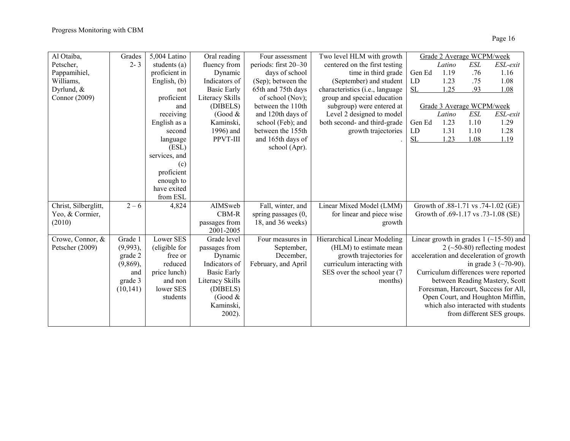| Al Otaiba,           | Grades      | 5,004 Latino  | Oral reading       | Four assessment      | Two level HLM with growth       |        | Grade 2 Average WCPM/week |      |                                          |
|----------------------|-------------|---------------|--------------------|----------------------|---------------------------------|--------|---------------------------|------|------------------------------------------|
| Petscher,            | $2 - 3$     | students (a)  | fluency from       | periods: first 20–30 | centered on the first testing   |        | Latino                    | ESL  | ESL-exit                                 |
| Pappamihiel,         |             | proficient in | Dynamic            | days of school       | time in third grade             | Gen Ed | 1.19                      | .76  | 1.16                                     |
| Williams,            |             | English, (b)  | Indicators of      | (Sep); between the   | (September) and student         | LD     | 1.23                      | .75  | 1.08                                     |
| Dyrlund, $&$         |             | not           | <b>Basic Early</b> | 65th and 75th days   | characteristics (i.e., language | SL     | 1.25                      | .93  | 1.08                                     |
| Connor (2009)        |             | proficient    | Literacy Skills    | of school (Nov);     | group and special education     |        |                           |      |                                          |
|                      |             | and           | (DIBELS)           | between the 110th    | subgroup) were entered at       |        | Grade 3 Average WCPM/week |      |                                          |
|                      |             | receiving     | (Good $&$          | and 120th days of    | Level 2 designed to model       |        | Latino                    | ESL  | ESL-exit                                 |
|                      |             | English as a  | Kaminski,          | school (Feb); and    | both second- and third-grade    | Gen Ed | 1.23                      | 1.10 | 1.29                                     |
|                      |             | second        | 1996) and          | between the 155th    | growth trajectories             | LD     | 1.31                      | 1.10 | 1.28                                     |
|                      |             | language      | PPVT-III           | and 165th days of    |                                 | SL     | 1.23                      | 1.08 | 1.19                                     |
|                      |             | (ESL)         |                    | school (Apr).        |                                 |        |                           |      |                                          |
|                      |             | services, and |                    |                      |                                 |        |                           |      |                                          |
|                      |             | (c)           |                    |                      |                                 |        |                           |      |                                          |
|                      |             | proficient    |                    |                      |                                 |        |                           |      |                                          |
|                      |             | enough to     |                    |                      |                                 |        |                           |      |                                          |
|                      |             | have exited   |                    |                      |                                 |        |                           |      |                                          |
|                      |             | from ESL      |                    |                      |                                 |        |                           |      |                                          |
| Christ, Silberglitt, | $2 - 6$     | 4,824         | AIMSweb            | Fall, winter, and    | Linear Mixed Model (LMM)        |        |                           |      | Growth of .88-1.71 vs .74-1.02 (GE)      |
| Yeo, & Cormier,      |             |               | CBM-R              | spring passages (0,  | for linear and piece wise       |        |                           |      | Growth of .69-1.17 vs .73-1.08 (SE)      |
| (2010)               |             |               | passages from      | 18, and 36 weeks)    | growth                          |        |                           |      |                                          |
|                      |             |               | 2001-2005          |                      |                                 |        |                           |      |                                          |
| Crowe, Connor, &     | Grade 1     | Lower SES     | Grade level        | Four measures in     | Hierarchical Linear Modeling    |        |                           |      | Linear growth in grades 1 $(-15-50)$ and |
| Petscher (2009)      | $(9,993)$ , | (eligible for | passages from      | September,           | (HLM) to estimate mean          |        |                           |      | $2$ (~50-80) reflecting modest           |
|                      | grade 2     | free or       | Dynamic            | December,            | growth trajectories for         |        |                           |      | acceleration and deceleration of growth  |
|                      | $(9,869)$ , | reduced       | Indicators of      | February, and April  | curriculum interacting with     |        |                           |      | in grade $3$ (~70-90).                   |
|                      | and         | price lunch)  | <b>Basic Early</b> |                      | SES over the school year (7     |        |                           |      | Curriculum differences were reported     |
|                      | grade 3     | and non       | Literacy Skills    |                      | months)                         |        |                           |      | between Reading Mastery, Scott           |
|                      | (10, 141)   | lower SES     | (DIBELS)           |                      |                                 |        |                           |      | Foresman, Harcourt, Success for All,     |
|                      |             | students      | (Good $&$          |                      |                                 |        |                           |      | Open Court, and Houghton Mifflin,        |
|                      |             |               | Kaminski,          |                      |                                 |        |                           |      | which also interacted with students      |
|                      |             |               | $2002$ ).          |                      |                                 |        |                           |      | from different SES groups.               |
|                      |             |               |                    |                      |                                 |        |                           |      |                                          |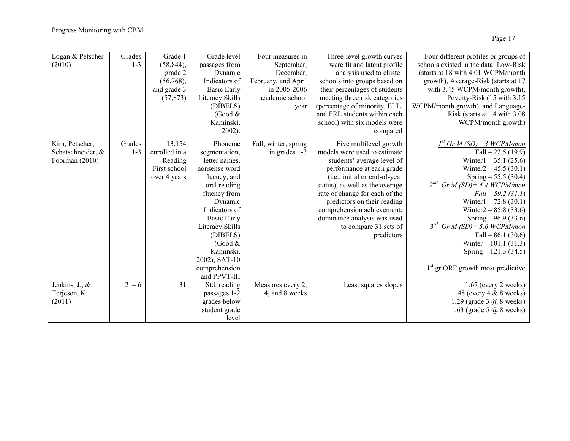| Logan & Petscher  | Grades  | Grade 1       | Grade level        | Four measures in     | Three-level growth curves       | Four different profiles or groups of          |
|-------------------|---------|---------------|--------------------|----------------------|---------------------------------|-----------------------------------------------|
| (2010)            | $1 - 3$ | $(58, 844)$ , | passages from      | September,           | were fit and latent profile     | schools existed in the data: Low-Risk         |
|                   |         | grade 2       | Dynamic            | December,            | analysis used to cluster        | (starts at 18 with 4.01 WCPM/month            |
|                   |         | (56,768),     | Indicators of      | February, and April  | schools into groups based on    | growth), Average-Risk (starts at 17           |
|                   |         | and grade 3   | <b>Basic Early</b> | in 2005-2006         | their percentages of students   | with 3.45 WCPM/month growth),                 |
|                   |         | (57, 873)     | Literacy Skills    | academic school      | meeting three risk categories   | Poverty-Risk (15 with 3.15)                   |
|                   |         |               | (DIBELS)           | year                 | (percentage of minority, ELL,   | WCPM/month growth), and Language-             |
|                   |         |               | (Good $&$          |                      | and FRL students within each    | Risk (starts at 14 with 3.08)                 |
|                   |         |               | Kaminski,          |                      | school) with six models were    | WCPM/month growth)                            |
|                   |         |               | $2002$ ).          |                      | compared                        |                                               |
| Kim, Petscher,    | Grades  | 13,154        | Phoneme            | Fall, winter, spring | Five multilevel growth          | $I^{st}$ Gr M (SD) = 3 WCPM/mon               |
| Schatschneider, & | $1 - 3$ | enrolled in a | segmentation,      | in grades 1-3        | models were used to estimate    | Fall $-22.5(19.9)$                            |
| Foorman (2010)    |         | Reading       | letter names,      |                      | students' average level of      | Winter1 $-35.1$ (25.6)                        |
|                   |         | First school  | nonsense word      |                      | performance at each grade       | Winter $2 - 45.5$ (30.1)                      |
|                   |         | over 4 years  | fluency, and       |                      | (i.e., initial or end-of-year   | Spring $-55.5(30.4)$                          |
|                   |         |               | oral reading       |                      | status), as well as the average | $2^{nd}$ Gr M (SD) = 4.4 WCPM/mon             |
|                   |         |               | fluency from       |                      | rate of change for each of the  | $Fall - 59.2 (31.1)$                          |
|                   |         |               | Dynamic            |                      | predictors on their reading     | Winter1 $-72.8$ (30.1)                        |
|                   |         |               | Indicators of      |                      | comprehension achievement;      | Winter2 $- 85.8$ (33.6)                       |
|                   |         |               | <b>Basic Early</b> |                      | dominance analysis was used     | Spring $-96.9(33.6)$                          |
|                   |         |               | Literacy Skills    |                      | to compare 31 sets of           | $3^{rd}$ Gr M (SD) = 5.6 WCPM/mon             |
|                   |         |               | (DIBELS)           |                      | predictors                      | Fall $-86.1(30.6)$                            |
|                   |         |               | (Good $&$          |                      |                                 | Winter $-101.1$ (31.3)                        |
|                   |         |               | Kaminski,          |                      |                                 | Spring $-121.3(34.5)$                         |
|                   |         |               | 2002); SAT-10      |                      |                                 |                                               |
|                   |         |               | comprehension      |                      |                                 | 1 <sup>st</sup> gr ORF growth most predictive |
|                   |         |               | and PPVT-III       |                      |                                 |                                               |
| Jenkins, J., &    | $2 - 6$ | 31            | Std. reading       | Measures every 2,    | Least squares slopes            | $1.67$ (every 2 weeks)                        |
| Terjeson, K.      |         |               | passages 1-2       | 4, and 8 weeks       |                                 | 1.48 (every $4 \& 8$ weeks)                   |
| (2011)            |         |               | grades below       |                      |                                 | 1.29 (grade 3 $\omega$ 8 weeks)               |
|                   |         |               | student grade      |                      |                                 | 1.63 (grade 5 $\omega$ 8 weeks)               |
|                   |         |               | level              |                      |                                 |                                               |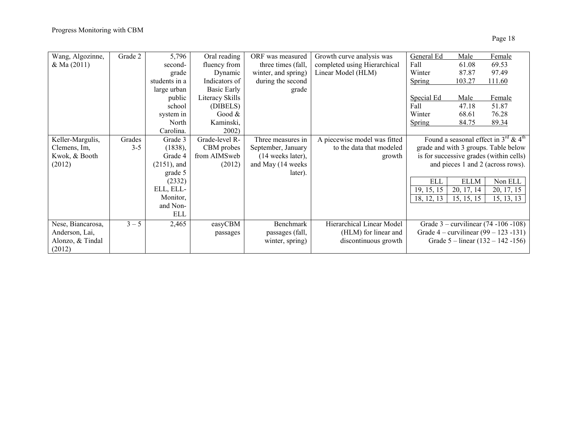| Wang, Algozinne,  | Grade 2 | 5,796          | Oral reading    | ORF was measured    | Growth curve analysis was    | General Ed | Male        | Female                                         |
|-------------------|---------|----------------|-----------------|---------------------|------------------------------|------------|-------------|------------------------------------------------|
| $&$ Ma $(2011)$   |         | second-        | fluency from    | three times (fall,  | completed using Hierarchical | Fall       | 61.08       | 69.53                                          |
|                   |         | grade          | Dynamic         | winter, and spring) | Linear Model (HLM)           | Winter     | 87.87       | 97.49                                          |
|                   |         | students in a  | Indicators of   | during the second   |                              | Spring     | 103.27      | 111.60                                         |
|                   |         | large urban    | Basic Early     | grade               |                              |            |             |                                                |
|                   |         | public         | Literacy Skills |                     |                              | Special Ed | Male        | Female                                         |
|                   |         | school         | (DIBELS)        |                     |                              | Fall       | 47.18       | 51.87                                          |
|                   |         | system in      | Good $&$        |                     |                              | Winter     | 68.61       | 76.28                                          |
|                   |         | North          | Kaminski,       |                     |                              | Spring     | 84.75       | 89.34                                          |
|                   |         | Carolina.      | 2002)           |                     |                              |            |             |                                                |
| Keller-Margulis,  | Grades  | Grade 3        | Grade-level R-  | Three measures in   | A piecewise model was fitted |            |             | Found a seasonal effect in $3^{rd}$ & $4^{th}$ |
| Clemens, Im,      | $3 - 5$ | (1838),        | CBM probes      | September, January  | to the data that modeled     |            |             | grade and with 3 groups. Table below           |
| Kwok, & Booth     |         | Grade 4        | from AIMSweb    | (14 weeks later),   | growth                       |            |             | is for successive grades (within cells)        |
| (2012)            |         | $(2151)$ , and | (2012)          | and May (14 weeks)  |                              |            |             | and pieces 1 and 2 (across rows).              |
|                   |         | grade 5        |                 | later).             |                              |            |             |                                                |
|                   |         | (2332)         |                 |                     |                              | <b>ELL</b> | <b>ELLM</b> | Non ELL                                        |
|                   |         | ELL, ELL-      |                 |                     |                              | 19, 15, 15 | 20, 17, 14  | 20, 17, 15                                     |
|                   |         | Monitor,       |                 |                     |                              | 18, 12, 13 | 15, 15, 15  | 15, 13, 13                                     |
|                   |         | and Non-       |                 |                     |                              |            |             |                                                |
|                   |         | ELL            |                 |                     |                              |            |             |                                                |
| Nese, Biancarosa, | $3 - 5$ | 2,465          | easyCBM         | Benchmark           | Hierarchical Linear Model    |            |             | Grade $3$ – curvilinear $(74 - 106 - 108)$     |
| Anderson, Lai,    |         |                | passages        | passages (fall,     | (HLM) for linear and         |            |             | Grade $4 -$ curvilinear $(99 - 123 - 131)$     |
| Alonzo, & Tindal  |         |                |                 | winter, spring)     | discontinuous growth         |            |             | Grade $5 - linear(132 - 142 - 156)$            |
| (2012)            |         |                |                 |                     |                              |            |             |                                                |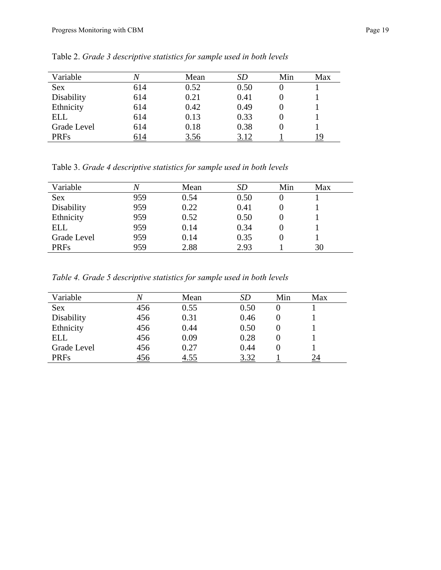| Variable    |     | Mean | SD   | Min | Max |
|-------------|-----|------|------|-----|-----|
| <b>Sex</b>  | 614 | 0.52 | 0.50 |     |     |
| Disability  | 614 | 0.21 | 0.41 |     |     |
| Ethnicity   | 614 | 0.42 | 0.49 |     |     |
| ELL         | 614 | 0.13 | 0.33 |     |     |
| Grade Level | 614 | 0.18 | 0.38 |     |     |
| <b>PRFs</b> | 614 | 3.56 | 3.12 |     |     |

Table 2. *Grade 3 descriptive statistics for sample used in both levels*

Table 3. *Grade 4 descriptive statistics for sample used in both levels*

| Variable    |     | Mean | <i>SD</i> | Min | Max |
|-------------|-----|------|-----------|-----|-----|
| <b>Sex</b>  | 959 | 0.54 | 0.50      |     |     |
| Disability  | 959 | 0.22 | 0.41      |     |     |
| Ethnicity   | 959 | 0.52 | 0.50      |     |     |
| ELL         | 959 | 0.14 | 0.34      |     |     |
| Grade Level | 959 | 0.14 | 0.35      |     |     |
| <b>PRFs</b> | 959 | 2.88 | 2.93      |     | 30  |

*Table 4. Grade 5 descriptive statistics for sample used in both levels*

| Variable    |     | Mean | SD   | Min | Max |
|-------------|-----|------|------|-----|-----|
| <b>Sex</b>  | 456 | 0.55 | 0.50 |     |     |
| Disability  | 456 | 0.31 | 0.46 |     |     |
| Ethnicity   | 456 | 0.44 | 0.50 |     |     |
| <b>ELL</b>  | 456 | 0.09 | 0.28 |     |     |
| Grade Level | 456 | 0.27 | 0.44 |     |     |
| <b>PRFs</b> | 456 | 4.55 | 3.32 |     | 24  |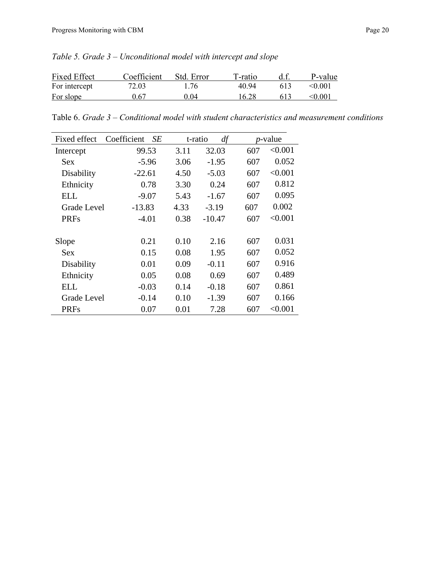| <b>Fixed Effect</b> | Coefficient | Std. Error | T-ratio |     | P-value |
|---------------------|-------------|------------|---------|-----|---------|
| For intercept       | 72.03       | 1 76       | 40.94   | 613 | < 0.001 |
| For slope           | 0.67        | 0.04       | 16.28   | 613 | < 0.001 |

*Table 5. Grade 3 – Unconditional model with intercept and slope*

Table 6. *Grade 3 – Conditional model with student characteristics and measurement conditions*

| Fixed effect       | Coefficient<br>SE |      | df<br>t-ratio |     | <i>p</i> -value |
|--------------------|-------------------|------|---------------|-----|-----------------|
| Intercept          | 99.53             | 3.11 | 32.03         | 607 | < 0.001         |
| Sex                | $-5.96$           | 3.06 | $-1.95$       | 607 | 0.052           |
| Disability         | $-22.61$          | 4.50 | $-5.03$       | 607 | < 0.001         |
| Ethnicity          | 0.78              | 3.30 | 0.24          | 607 | 0.812           |
| <b>ELL</b>         | $-9.07$           | 5.43 | $-1.67$       | 607 | 0.095           |
| <b>Grade Level</b> | $-13.83$          | 4.33 | $-3.19$       | 607 | 0.002           |
| <b>PRFs</b>        | $-4.01$           | 0.38 | $-10.47$      | 607 | < 0.001         |
|                    |                   |      |               |     |                 |
| Slope              | 0.21              | 0.10 | 2.16          | 607 | 0.031           |
| Sex                | 0.15              | 0.08 | 1.95          | 607 | 0.052           |
| Disability         | 0.01              | 0.09 | $-0.11$       | 607 | 0.916           |
| Ethnicity          | 0.05              | 0.08 | 0.69          | 607 | 0.489           |
| <b>ELL</b>         | $-0.03$           | 0.14 | $-0.18$       | 607 | 0.861           |
| <b>Grade Level</b> | $-0.14$           | 0.10 | $-1.39$       | 607 | 0.166           |
| <b>PRFs</b>        | 0.07              | 0.01 | 7.28          | 607 | < 0.001         |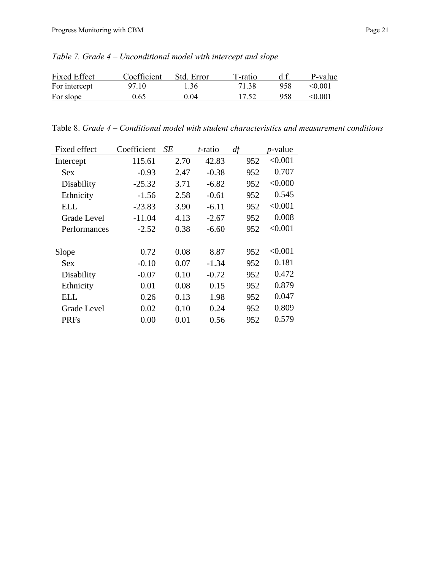| <b>Fixed Effect</b> | Coefficient | Std. Error | T-ratio |     | P-value        |
|---------------------|-------------|------------|---------|-----|----------------|
| For intercept       | 97.10       | 1.36       | 71.38   | 958 | < 0.001        |
| For slope           | 9.65        | 0.04       | 17.52   | 958 | $< \!\! 0.001$ |

*Table 7. Grade 4 – Unconditional model with intercept and slope*

Table 8. *Grade 4 – Conditional model with student characteristics and measurement conditions*

| Fixed effect | Coefficient | SЕ   | <i>t</i> -ratio | df  | <i>p</i> -value |
|--------------|-------------|------|-----------------|-----|-----------------|
| Intercept    | 115.61      | 2.70 | 42.83           | 952 | < 0.001         |
| <b>Sex</b>   | $-0.93$     | 2.47 | $-0.38$         | 952 | 0.707           |
| Disability   | $-25.32$    | 3.71 | $-6.82$         | 952 | < 0.000         |
| Ethnicity    | $-1.56$     | 2.58 | $-0.61$         | 952 | 0.545           |
| ELL          | $-23.83$    | 3.90 | $-6.11$         | 952 | < 0.001         |
| Grade Level  | $-11.04$    | 4.13 | $-2.67$         | 952 | 0.008           |
| Performances | $-2.52$     | 0.38 | $-6.60$         | 952 | < 0.001         |
|              |             |      |                 |     |                 |
| Slope        | 0.72        | 0.08 | 8.87            | 952 | < 0.001         |
| Sex          | $-0.10$     | 0.07 | $-1.34$         | 952 | 0.181           |
| Disability   | $-0.07$     | 0.10 | $-0.72$         | 952 | 0.472           |
| Ethnicity    | 0.01        | 0.08 | 0.15            | 952 | 0.879           |
| <b>ELL</b>   | 0.26        | 0.13 | 1.98            | 952 | 0.047           |
| Grade Level  | 0.02        | 0.10 | 0.24            | 952 | 0.809           |
| <b>PRFs</b>  | 0.00        | 0.01 | 0.56            | 952 | 0.579           |